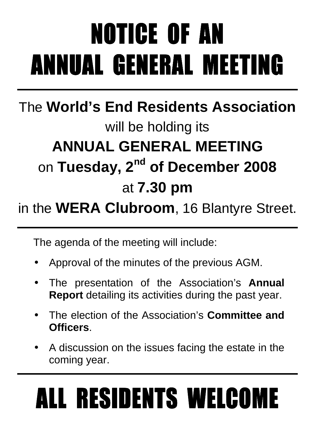# NOTICE OF AN ANNUAL GENERAL MEETING ANNUAL MEETING

## The **World's End Residents Association** will be holding its **ANNUAL GENERAL MEETING**  on **Tuesday, 2nd of December 2008** at **7.30 pm**

### in the **WERA Clubroom**, 16 Blantyre Street.

The agenda of the meeting will include:

- Approval of the minutes of the previous AGM.
- The presentation of the Association's **Annual Report** detailing its activities during the past year.
- The election of the Association's **Committee and Officers**.
- A discussion on the issues facing the estate in the coming year.

# ALL RESIDENTS WELCOME ALL RESIDENTS WELCOME